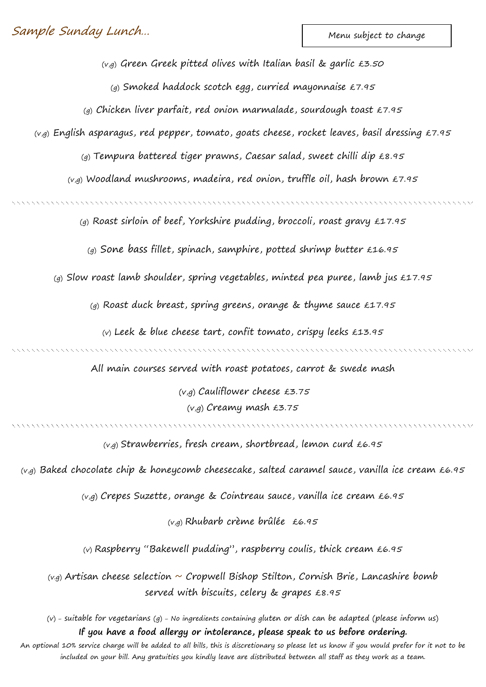Menu subject to change

 $(v,g)$  Green Greek pitted olives with Italian basil & garlic £3.50

(g) Smoked haddock scotch egg, curried mayonnaise £7.95

(g) Chicken liver parfait, red onion marmalade, sourdough toast £7.95

 $(v,g)$  English asparagus, red pepper, tomato, goats cheese, rocket leaves, basil dressing £7.95

(g) Tempura battered tiger prawns, Caesar salad, sweet chilli dip  $\text{\pounds}8.95$ 

 $(v,g)$  Woodland mushrooms, madeira, red onion, truffle oil, hash brown £7.95

(g) Roast sirloin of beef, Yorkshire pudding, broccoli, roast gravy £17.95

(g) Sone bass fillet, spinach, samphire, potted shrimp butter  $£16.95$ 

(g) Slow roast lamb shoulder, spring vegetables, minted pea puree, lamb jus  $£17.95$ 

(g) Roast duck breast, spring greens, orange & thyme sauce £17.95

(v) Leek & blue cheese tart, confit tomato, crispy leeks £13.95

All main courses served with roast potatoes, carrot & swede mash

(v,g) Cauliflower cheese £3.75 (v,g) Creamy mash £3.75

 $(v,q)$  Strawberries, fresh cream, shortbread, lemon curd £6.95

 $(v,g)$  Baked chocolate chip & honeycomb cheesecake, salted caramel sauce, vanilla ice cream £6.95

(v,g) Crepes Suzette, orange & Cointreau sauce, vanilla ice cream £6.95

(v,g) Rhubarb crème brûlée £6.95

(v) Raspberry "Bakewell pudding", raspberry coulis, thick cream £6.95

 $(v,q)$  Artisan cheese selection  $\sim$  Cropwell Bishop Stilton, Cornish Brie, Lancashire bomb served with biscuits, celery & grapes £8.95

(v) – suitable for vegetarians (g) – No ingredients containing gluten or dish can be adapted (please inform us) **If you have a food allergy or intolerance, please speak to us before ordering.**

An optional 10% service charge will be added to all bills, this is discretionary so please let us know if you would prefer for it not to be included on your bill. Any gratuities you kindly leave are distributed between all staff as they work as a team.